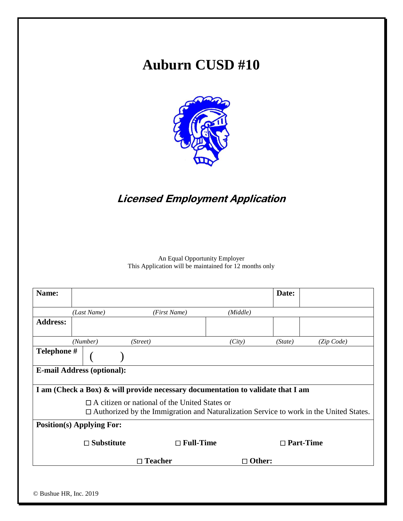# **Auburn CUSD #10**



# **Licensed Employment Application**

An Equal Opportunity Employer This Application will be maintained for 12 months only

| Name:           |                                                                                                                                                       |                                                                                 |               | Date:            |            |  |  |
|-----------------|-------------------------------------------------------------------------------------------------------------------------------------------------------|---------------------------------------------------------------------------------|---------------|------------------|------------|--|--|
|                 | (Last Name)                                                                                                                                           | (First Name)                                                                    | (Middle)      |                  |            |  |  |
| <b>Address:</b> |                                                                                                                                                       |                                                                                 |               |                  |            |  |  |
|                 | (Number)                                                                                                                                              | (Street)                                                                        | (City)        | (State)          | (Zip Code) |  |  |
| Telephone #     |                                                                                                                                                       |                                                                                 |               |                  |            |  |  |
|                 | <b>E-mail Address (optional):</b>                                                                                                                     |                                                                                 |               |                  |            |  |  |
|                 |                                                                                                                                                       | I am (Check a Box) & will provide necessary documentation to validate that I am |               |                  |            |  |  |
|                 | $\Box$ A citizen or national of the United States or<br>$\Box$ Authorized by the Immigration and Naturalization Service to work in the United States. |                                                                                 |               |                  |            |  |  |
|                 | <b>Position(s) Applying For:</b>                                                                                                                      |                                                                                 |               |                  |            |  |  |
|                 | $\square$ Substitute                                                                                                                                  | $\Box$ Full-Time                                                                |               | $\Box$ Part-Time |            |  |  |
|                 |                                                                                                                                                       | $\Box$ Teacher                                                                  | $\Box$ Other: |                  |            |  |  |
|                 |                                                                                                                                                       |                                                                                 |               |                  |            |  |  |
|                 |                                                                                                                                                       |                                                                                 |               |                  |            |  |  |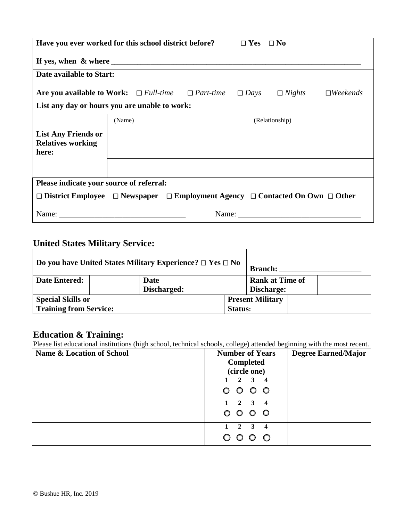| Have you ever worked for this school district before?<br>$\Box$ Yes $\Box$ No                                                                                                                                                 |        |  |  |             |                |                        |  |  |
|-------------------------------------------------------------------------------------------------------------------------------------------------------------------------------------------------------------------------------|--------|--|--|-------------|----------------|------------------------|--|--|
|                                                                                                                                                                                                                               |        |  |  |             |                |                        |  |  |
| Date available to Start:                                                                                                                                                                                                      |        |  |  |             |                |                        |  |  |
| Are you available to Work: $\Box$ Full-time $\Box$ Part-time                                                                                                                                                                  |        |  |  | $\Box$ Days | $\Box$ Nights  | $\Box$ <i>Weekends</i> |  |  |
| List any day or hours you are unable to work:                                                                                                                                                                                 |        |  |  |             |                |                        |  |  |
|                                                                                                                                                                                                                               | (Name) |  |  |             | (Relationship) |                        |  |  |
| <b>List Any Friends or</b>                                                                                                                                                                                                    |        |  |  |             |                |                        |  |  |
| <b>Relatives working</b><br>here:                                                                                                                                                                                             |        |  |  |             |                |                        |  |  |
|                                                                                                                                                                                                                               |        |  |  |             |                |                        |  |  |
| Please indicate your source of referral:                                                                                                                                                                                      |        |  |  |             |                |                        |  |  |
| $\Box$ District Employee $\Box$ Newspaper $\Box$ Employment Agency $\Box$ Contacted On Own $\Box$ Other                                                                                                                       |        |  |  |             |                |                        |  |  |
| Name: Name and the same state of the same state of the same state of the same state of the same state of the same state of the same state of the same state of the same state of the same state of the same state of the same |        |  |  |             | Name:          |                        |  |  |

# **United States Military Service:**

| Do you have United States Military Experience? $\Box$ Yes $\Box$ No |  |             |         | <b>Branch:</b>          |  |  |
|---------------------------------------------------------------------|--|-------------|---------|-------------------------|--|--|
| <b>Date Entered:</b>                                                |  | Date        |         | <b>Rank at Time of</b>  |  |  |
|                                                                     |  | Discharged: |         | Discharge:              |  |  |
| <b>Special Skills or</b>                                            |  |             |         | <b>Present Military</b> |  |  |
| <b>Training from Service:</b>                                       |  |             | Status: |                         |  |  |

#### **Education & Training:**

Please list educational institutions (high school, technical schools, college) attended beginning with the most recent.

| Name & Location of School | <b>Number of Years</b><br><b>Completed</b>             | <b>Degree Earned/Major</b> |
|---------------------------|--------------------------------------------------------|----------------------------|
|                           | (circle one)                                           |                            |
|                           | $2 \quad 3$<br>4                                       |                            |
|                           | 0000                                                   |                            |
|                           | $1 \quad 2 \quad 3 \quad 4$                            |                            |
|                           | 0000                                                   |                            |
|                           | $2 \quad 3$<br>$\mathbf{1}$<br>$\overline{\mathbf{4}}$ |                            |
|                           | $\circ$<br>$\circ$                                     |                            |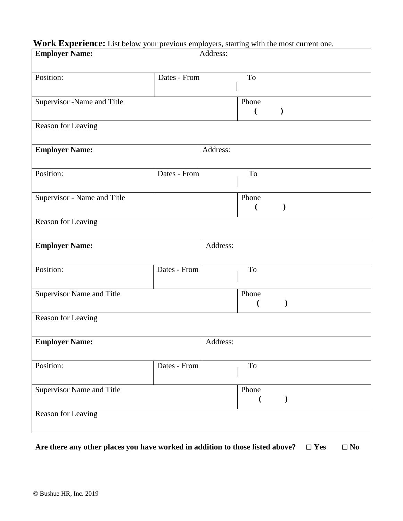### **Work Experience:** List below your previous employers, starting with the most current one.

| <b>Employer Name:</b>       |              | Address: |                             |
|-----------------------------|--------------|----------|-----------------------------|
| Position:                   | Dates - From |          | To                          |
| Supervisor -Name and Title  |              |          | Phone<br>$\mathcal{E}$<br>€ |
| Reason for Leaving          |              |          |                             |
| <b>Employer Name:</b>       |              | Address: |                             |
| Position:                   | Dates - From |          | To                          |
| Supervisor - Name and Title |              |          | Phone<br>$\mathcal{E}$<br>€ |
| Reason for Leaving          |              |          |                             |
| <b>Employer Name:</b>       |              | Address: |                             |
| Position:                   | Dates - From |          | To                          |
| Supervisor Name and Title   |              |          | Phone                       |
| Reason for Leaving          |              |          |                             |
| <b>Employer Name:</b>       |              | Address: |                             |
| Position:                   | Dates - From |          | $\operatorname{To}$         |
| Supervisor Name and Title   |              |          | Phone<br>$\mathcal{E}$<br>€ |
| Reason for Leaving          |              |          |                             |

Are there any other places you have worked in addition to those listed above?  $\Box$  Yes  $\Box$  No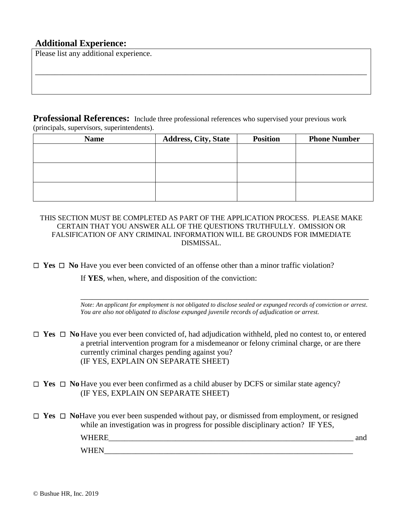#### **Additional Experience:**

Please list any additional experience.

**Professional References:** Include three professional references who supervised your previous work (principals, supervisors, superintendents).

\_\_\_\_\_\_\_\_\_\_\_\_\_\_\_\_\_\_\_\_\_\_\_\_\_\_\_\_\_\_\_\_\_\_\_\_\_\_\_\_\_\_\_\_\_\_\_\_\_\_\_\_\_\_\_\_\_\_\_\_\_\_\_\_\_\_\_\_\_\_\_\_\_\_\_\_\_\_\_\_\_\_\_\_

| <b>Name</b> | <b>Address, City, State</b> | <b>Position</b> | <b>Phone Number</b> |
|-------------|-----------------------------|-----------------|---------------------|
|             |                             |                 |                     |
|             |                             |                 |                     |
|             |                             |                 |                     |
|             |                             |                 |                     |
|             |                             |                 |                     |
|             |                             |                 |                     |

THIS SECTION MUST BE COMPLETED AS PART OF THE APPLICATION PROCESS. PLEASE MAKE CERTAIN THAT YOU ANSWER ALL OF THE QUESTIONS TRUTHFULLY. OMISSION OR FALSIFICATION OF ANY CRIMINAL INFORMATION WILL BE GROUNDS FOR IMMEDIATE DISMISSAL.

 $\Box$  **Yes**  $\Box$  **No** Have you ever been convicted of an offense other than a minor traffic violation?

If **YES**, when, where, and disposition of the conviction:

\_\_\_\_\_\_\_\_\_\_\_\_\_\_\_\_\_\_\_\_\_\_\_\_\_\_\_\_\_\_\_\_\_\_\_\_\_\_\_\_\_\_\_\_\_\_\_\_\_\_\_\_\_\_\_\_\_\_\_\_\_\_\_\_\_\_\_\_\_\_\_\_\_ *Note: An applicant for employment is not obligated to disclose sealed or expunged records of conviction or arrest*. *You are also not obligated to disclose expunged juvenile records of adjudication or arrest.*

- $\Box$  **Yes**  $\Box$  **No** Have you ever been convicted of, had adjudication withheld, pled no contest to, or entered a pretrial intervention program for a misdemeanor or felony criminal charge, or are there currently criminal charges pending against you? (IF YES, EXPLAIN ON SEPARATE SHEET)
- $\Box$  **Yes**  $\Box$  **No** Have you ever been confirmed as a child abuser by DCFS or similar state agency? (IF YES, EXPLAIN ON SEPARATE SHEET)
- □ Yes □ NoHave you ever been suspended without pay, or dismissed from employment, or resigned while an investigation was in progress for possible disciplinary action? IF YES,

| W<br>_ | anu |
|--------|-----|
| A.     |     |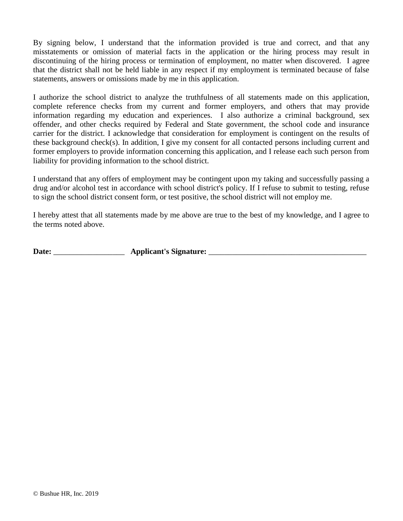By signing below, I understand that the information provided is true and correct, and that any misstatements or omission of material facts in the application or the hiring process may result in discontinuing of the hiring process or termination of employment, no matter when discovered. I agree that the district shall not be held liable in any respect if my employment is terminated because of false statements, answers or omissions made by me in this application.

I authorize the school district to analyze the truthfulness of all statements made on this application, complete reference checks from my current and former employers, and others that may provide information regarding my education and experiences. I also authorize a criminal background, sex offender, and other checks required by Federal and State government, the school code and insurance carrier for the district. I acknowledge that consideration for employment is contingent on the results of these background check(s). In addition, I give my consent for all contacted persons including current and former employers to provide information concerning this application, and I release each such person from liability for providing information to the school district.

I understand that any offers of employment may be contingent upon my taking and successfully passing a drug and/or alcohol test in accordance with school district's policy. If I refuse to submit to testing, refuse to sign the school district consent form, or test positive, the school district will not employ me.

I hereby attest that all statements made by me above are true to the best of my knowledge, and I agree to the terms noted above.

**Date:** \_\_\_\_\_\_\_\_\_\_\_\_\_\_\_\_\_\_ **Applicant's Signature:** \_\_\_\_\_\_\_\_\_\_\_\_\_\_\_\_\_\_\_\_\_\_\_\_\_\_\_\_\_\_\_\_\_\_\_\_\_\_\_\_